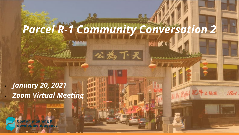# *Parcel R-1 Community Conversation 2*

公為下天

Hot.

• *January 20, 2021*  • *Zoom Virtual Meeting*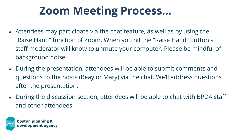## **Zoom Meeting Process…**

- Attendees may participate via the chat feature, as well as by using the "Raise Hand" function of Zoom. When you hit the "Raise Hand" button a staff moderator will know to unmute your computer. Please be mindful of background noise.
- During the presentation, attendees will be able to submit comments and questions to the hosts (Reay or Mary) via the chat. We'll address questions after the presentation.
- During the discussion section, attendees will be able to chat with BPDA staff and other attendees.

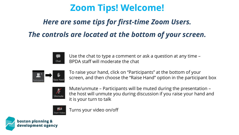## **Zoom Tips! Welcome!**

## *Here are some tips for first-time Zoom Users. The controls are located at the bottom of your screen.*



Use the chat to type a comment or ask a question at any time – BPDA staff will moderate the chat



To raise your hand, click on "Participants" at the bottom of your screen, and then choose the "Raise Hand" option in the participant box



Mute/unmute – Participants will be muted during the presentation – the host will unmute you during discussion if you raise your hand and it is your turn to talk

Turns your video on/off

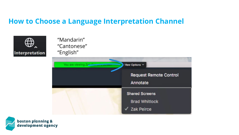### **How to Choose a Language Interpretation Channel**



### "Mandarin" "Cantonese" "English"

| You are viewing Zeld The way a purpose | Watch<br>View Options $\vee$                                       |
|----------------------------------------|--------------------------------------------------------------------|
|                                        | <b>Request Remote Control</b><br>Annotate                          |
|                                        | <b>Shared Screens</b><br><b>Brad Whitlock</b><br><b>Zak Peirce</b> |

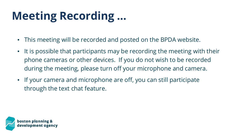# **Meeting Recording …**

- This meeting will be recorded and posted on the BPDA website.
- **•** It is possible that participants may be recording the meeting with their phone cameras or other devices. If you do not wish to be recorded during the meeting, please turn off your microphone and camera.
- **•** If your camera and microphone are off, you can still participate through the text chat feature.

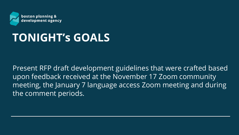

## **TONIGHT's GOALS**

Present RFP draft development guidelines that were crafted based upon feedback received at the November 17 Zoom community meeting, the January 7 language access Zoom meeting and during the comment periods.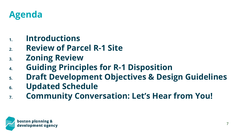

- **1. Introductions**
- **2. Review of Parcel R-1 Site**
- **3. Zoning Review**
- **4. Guiding Principles for R-1 Disposition**
- **5. Draft Development Objectives & Design Guidelines**
- **6. Updated Schedule**
- **7. Community Conversation: Let's Hear from You!**

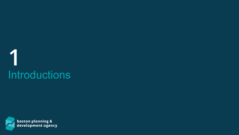# **1 Introductions**

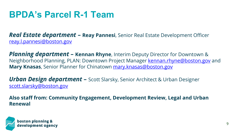### **BPDA's Parcel R-1 Team**

*Real Estate department* **– Reay Pannesi**, Senior Real Estate Development Officer [reay.l.pannesi@boston.gov](mailto:reay.l.pannesi@boston.gov)

*Planning department* **– Kennan Rhyne**, Interim Deputy Director for Downtown & Neighborhood Planning, PLAN: Downtown Project Manager [kennan.rhyne@boston.gov](mailto:kennan.rhyne@boston.gov) and **Mary Knasas**, Senior Planner for Chinatown [mary.knasas@boston.gov](mailto:mary.knasas@boston.gov)

**Urban Design department –** Scott Slarsky, Senior Architect & Urban Designer [scott.slarsky@boston.gov](mailto:scott.slarsky@boston.gov)

**Also staff from: Community Engagement, Development Review, Legal and Urban Renewal**

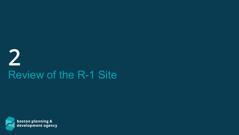# **2** Review of the R-1 Site

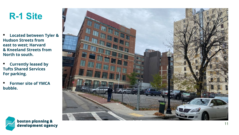## **R -1 Site**

- **Located between Tyler & Hudson Streets from east to west; Harvard & Kneeland Streets from North to south.**
- **Currently leased by Tufts Shared Services For parking.**
- **Former site of YMCA bubble.**



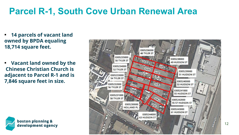### **Parcel R-1, South Cove Urban Renewal Area**

- **14 parcels of vacant land owned by BPDA equaling 18,714 square feet.**
- **Vacant land owned by the Chinese Christian Church is adjacent to Parcel R-1 and is 7,846 square feet in size.**



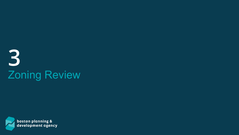# **3** Zoning Review

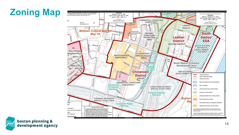## **Zoning Map**



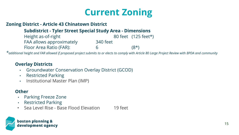## **Current Zoning**

### **Zoning District - Article 43 Chinatown District**

### **Subdistrict - Tyler Street Special Study Area - Dimensions**

| Height as-of-right       |          | 80 feet (125 feet*) |
|--------------------------|----------|---------------------|
| FAA allows approximately | 340 feet |                     |
| Floor Area Ratio (FAR):  |          | $(8^{\star})$       |

*\*additional height and FAR allowed if proposed project submits to or elects to comply with Article 80 Large Project Review with BPDA and community*

### **Overlay Districts**

- Groundwater Conservation Overlay District (GCOD)
- Restricted Parking
- Institutional Master Plan (IMP)

### **Other**

- Parking Freeze Zone
- Restricted Parking
- Sea Level Rise Base Flood Elevation 19 feet

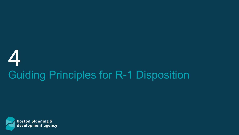# **4** Guiding Principles for R-1 Disposition

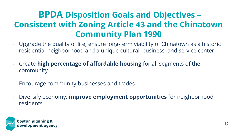### **BPDA Disposition Goals and Objectives – Consistent with Zoning Article 43 and the Chinatown Community Plan 1990**

- Upgrade the quality of life; ensure long-term viability of Chinatown as a historic residential neighborhood and a unique cultural, business, and service center
- Create **high percentage of affordable housing** for all segments of the community
- Encourage community businesses and trades
- Diversify economy; **improve employment opportunities** for neighborhood residents

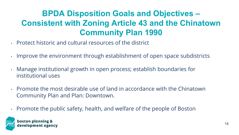### **BPDA Disposition Goals and Objectives – Consistent with Zoning Article 43 and the Chinatown Community Plan 1990**

- Protect historic and cultural resources of the district
- Improve the environment through establishment of open space subdistricts
- Manage institutional growth in open process; establish boundaries for institutional uses
- Promote the most desirable use of land in accordance with the Chinatown Community Plan and Plan: Downtown.
- Promote the public safety, health, and welfare of the people of Boston

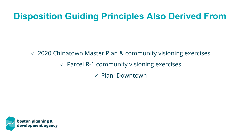### **Disposition Guiding Principles Also Derived From**

2020 Chinatown Master Plan & community visioning exercises

- $\checkmark$  Parcel R-1 community visioning exercises
	- Plan: Downtown

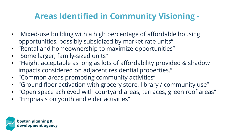### **Areas Identified in Community Visioning -**

- "Mixed-use building with a high percentage of affordable housing opportunities, possibly subsidized by market rate units"
- "Rental and homeownership to maximize opportunities"
- "Some larger, family-sized units"
- "Height acceptable as long as lots of affordability provided & shadow impacts considered on adjacent residential properties."
- "Common areas promoting community activities"
- "Ground floor activation with grocery store, library / community use"
- "Open space achieved with courtyard areas, terraces, green roof areas"
- "Emphasis on youth and elder activities"

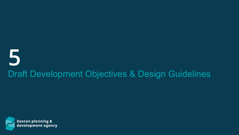# **5** Draft Development Objectives & Design Guidelines

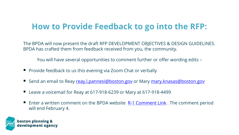### **How to Provide Feedback to go into the RFP:**

The BPDA will now present the draft RFP DEVELOPMENT OBJECTIVES & DESIGN GUIDELINES. BPDA has crafted them from feedback received from you, the community.

You will have several opportunities to comment further or offer wording edits –

- Provide feedback to us this evening via Zoom Chat or verbally
- Send an email to Reay [reay.l.pannesi@boston.gov](mailto:reay.l.pannesi@boston.gov) or Mary [mary.knasas@boston.gov](mailto:mary.knasas@boston.gov)
- Leave a voicemail for Reay at 617-918-6239 or Mary at 617-918-4499
- **Enter a written comment on the BPDA website**  $R-1$  **Comment Link**. The comment period will end February 4.

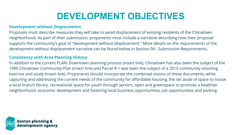#### **Development without Displacement**

Proposals must describe measures they will take to avoid displacement of existing residents of the Chinatown neighborhood. As part of their submission, proponents must include a narrative describing how their proposal supports the community's goal of "development without displacement." More details on the requirements of the development without displacement narrative can be found below in Section 04 - Submission Requirements.

#### **Consistency with Area Planning History**

In addition to the current PLAN: Downtown planning process (insert link), Chinatown has also been the subject of the 1990 Chinatown Community Plan (insert link) and Parcel R-1 was been the subject of a 201X community visioning exercise and study (insert link). Proponents should incorporate the combined visions of these documents, while capturing and addressing the current needs of the community for affordable housing, the set aside of space to house a local branch library, recreational space for youth through seniors, open and greenspace to promote a healthier neighborhood, economic development and fostering local business opportunities, job opportunities and parking.

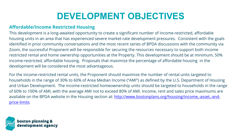### **Affordable/Income Restricted Housing**

This development is a long-awaited opportunity to create a significant number of income-restricted, affordable housing units in an area that has experienced severe market-rate development pressures. Consistent with the goals identified in prior community conversations and the most recent series of BPDA discussions with the community via Zoom, the successful Proponent will be responsible for securing the resources necessary to support both income restricted rental and home ownership opportunities at the Property. This development should be at minimum, 50% income-restricted, affordable housing. Proposals that maximize the percentage of affordable housing in the development will be considered the most advantageous.

For the income-restricted rental units, the Proponent should maximize the number of rental units targeted to households in the range of 30% to 60% of Area Median Income ("AMI") as defined by the U.S. Department of Housing and Urban Development. The income-restricted homeownership units should be targeted to households in the range of 60% to 100% of AMI, with the average AMI not to exceed 80% of AMI. Income, rent and sales price maximums are [available on the BPDA website in the Housing section at: http://www.bostonplans.org/housing/income,-asset,-and](http://www.bostonplans.org/housing/income,-asset,-and-price-limits)price-limits

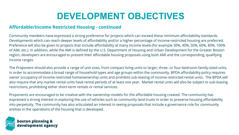#### **Affordable/Income Restricted Housing - continued**

Community members have expressed a strong preference for projects which can exceed these minimum affordability standards. Developments which can reach deeper levels of affordability and/or a higher percentage of income-restricted housing are preferred. Preference will also be given to projects that include affordability at many income levels (for example 30%, 40%, 50%, 60%, 80%, 100% of AMI, etc.). In addition, while the AMI is defined by the U.S. Department of Housing and Urban Development for the Greater Boston region, developers are encouraged to present their affordable housing proposals using both AMI and the corresponding, qualifying income ranges.

The Proponent should also provide a range of unit sizes, from compact living units to larger, three- or four-bedroom family-sized units, in order to accommodate a broad range of household types and age groups within the community. BPDA affordability policy requires owner occupancy of income restricted homeownership units and prohibits sub-leasing of income restricted rental units. The BPDA will also require that any market rental units have rental periods of at least one year. Market rental units will also be subject to sub-leasing restrictions, prohibiting either short-term rentals or rental services.

Proponents are encouraged to be creative with the ownership models for the affordable housing created. The community has expressed a strong interest in exploring the use of vehicles such as community land trusts in order to preserve housing affordability into perpetuity. The community has also articulated an interest in seeing proposals that include a governance role for community entities in the operations of the housing that is developed.

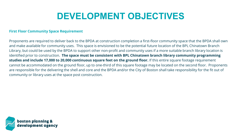#### **First Floor Community Space Requirement**

Proponents are required to deliver back to the BPDA at construction completion a first-floor community space that the BPDA shall own and make available for community uses. This space is envisioned to be the potential future location of the BPL Chinatown Branch Library, but could be used by the BPDA to support other non-profit and community uses if a more suitable branch library location is identified prior to construction. **The space must be consistent with BPL Chinatown branch library community programming studies and include 17,000 to 20,000 continuous square feet on the ground floor.** If this entire square footage requirement cannot be accommodated on the ground floor, up to one-third of this square footage may be located on the second floor. Proponents are responsible for the delivering the shell and core and the BPDA and/or the City of Boston shall take responsibility for the fit out of community or library uses at the space post construction.

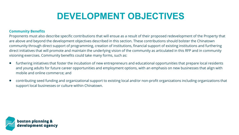#### **Community Benefits**

Proponents must also describe specific contributions that will ensue as a result of their proposed redevelopment of the Property that are above and beyond the development objectives described in this section. These contributions should bolster the Chinatown community through direct support of programming, creation of institutions, financial support of existing institutions and furthering direct initiatives that will promote and maintain the underlying vision of the community as articulated in this RFP and in community visioning exercises. Community benefits could take many forms, such as:

- furthering initiatives that foster the incubation of new entrepreneurs and educational opportunities that prepare local residents and young adults for future career opportunities and employment options, with an emphasis on new businesses that align with mobile and online commerce; and
- contributing seed funding and organizational support to existing local and/or non-profit organizations including organizations that support local businesses or culture within Chinatown.

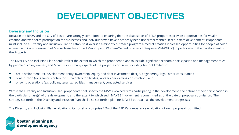#### **Diversity and Inclusion**

Because the BPDA and the City of Boston are strongly committed to ensuring that the disposition of BPDA properties provide opportunities for wealthcreation and workforce participation for businesses and individuals who have historically been underrepresented in real estate development, Proponents must include a Diversity and Inclusion Plan to establish & oversee a minority outreach program aimed at creating increased opportunities for people of color, women, and Commonwealth of Massachusetts-certified Minority and Women-Owned Business Enterprises ("M/WBEs") to participate in the development of the Property.

The Diversity and Inclusion Plan should reflect the extent to which the proponent plans to include significant economic participation and management roles by people of color, women, and M/WBEs in as many aspects of the project as possible, including but not limited to:

- pre-development (ex. development entity, ownership, equity and debt investment, design, engineering, legal, other consultants);
- construction (ex. general contractor, sub-contractor, trades, workers performing construction); and
- ongoing operations (ex. building tenants, facilities management, contracted services.

Within the Diversity and Inclusion Plan, proponents shall specify the M/WBE-owned firms participating in the development, the nature of their participation in the particular phase(s) of the development, and the extent to which such M/WBE involvement is committed as of the date of proposal submission. The strategy set forth in the Diversity and Inclusion Plan shall also set forth a plan for M/WBE outreach as the development progresses*.* 

The Diversity and Inclusion Plan evaluation criterion shall comprise 25% of the BPDA's comparative evaluation of each proposal submitted.

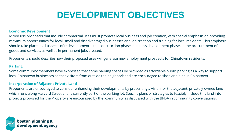#### **Economic Development**

Mixed use proposals that include commercial uses must promote local business and job creation, with special emphasis on providing maximum opportunities for local, small and disadvantaged businesses and job creation and training for local residents. This emphasis should take place in all aspects of redevelopment -- the construction phase, business development phase, in the procurement of goods and services, as well as in permanent jobs created.

Proponents should describe how their proposed uses will generate new employment prospects for Chinatown residents.

#### **Parking**

Some community members have expressed that some parking spaces be provided as affordable public parking as a way to support local Chinatown businesses so that visitors from outside the neighborhood are encouraged to shop and dine in Chinatown.

#### **Incorporation of Adjacent Private Land**

Proponents are encouraged to consider enhancing their developments by presenting a vision for the adjacent, privately-owned land which runs along Harvard Street and is currently part of the parking lot. Specific plans or strategies to feasibly include this land into projects proposed for the Property are encouraged by the community as discussed with the BPDA in community conversations.

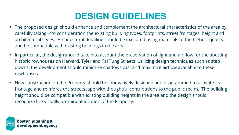### **DESIGN GUIDELINES**

- The proposed design should enhance and complement the architectural characteristics of the area by carefully taking into consideration the existing building types, footprints, street frontages, height and architectural styles. Architectural detailing should be executed using materials of the highest quality and be compatible with existing buildings in the area.
- In particular, the design should take into account the preservation of light and air flow for the abutting historic rowhouses on Harvard, Tyler and Tai Tung Streets. Utilizing design techniques such as step downs, the development should minimize shadows cast and maximize airflow available to these rowhouses.
- New construction on the Property should be innovatively designed and programmed to activate its frontage and reinforce the streetscape with thoughtful contributions to the public realm. The building height should be compatible with existing building heights in the area and the design should recognize the visually prominent location of the Property.

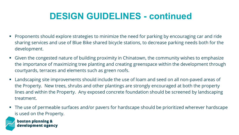### **DESIGN GUIDELINES - continued**

- Proponents should explore strategies to minimize the need for parking by encouraging car and ride sharing services and use of Blue Bike shared bicycle stations, to decrease parking needs both for the development.
- Given the congested nature of building proximity in Chinatown, the community wishes to emphasize the importance of maximizing tree planting and creating greenspace within the development through courtyards, terraces and elements such as green roofs.
- Landscaping site improvements should include the use of loam and seed on all non-paved areas of the Property. New trees, shrubs and other plantings are strongly encouraged at both the property lines and within the Property. Any exposed concrete foundation should be screened by landscaping treatment.
- The use of permeable surfaces and/or pavers for hardscape should be prioritized wherever hardscape is used on the Property.

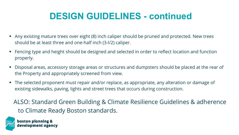### **DESIGN GUIDELINES - continued**

- Any existing mature trees over eight (8) inch caliper should be pruned and protected. New trees should be at least three and one-half inch (3-l/2) caliper.
- Fencing type and height should be designed and selected in order to reflect location and function properly.
- Disposal areas, accessory storage areas or structures and dumpsters should be placed at the rear of the Property and appropriately screened from view.
- The selected proponent must repair and/or replace, as appropriate, any alteration or damage of existing sidewalks, paving, lights and street trees that occurs during construction.

ALSO: Standard Green Building & Climate Resilience Guidelines & adherence to Climate Ready Boston standards.

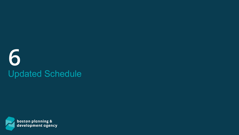# **6** Updated Schedule

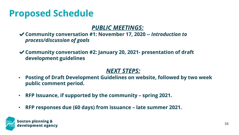## **Proposed Schedule**

### *PUBLIC MEETINGS:*

✔**Community conversation #1: November 17, 2020 --** *Introduction to process/discussion of goals*

✔**Community conversation #2: January 20, 2021- presentation of draft development guidelines** 

### *NEXT STEPS:*

- **Posting of Draft Development Guidelines on website, followed by two week public comment period.**
- **RFP Issuance, if supported by the community – spring 2021.**
- **RFP responses due (60 days) from issuance – late summer 2021.**

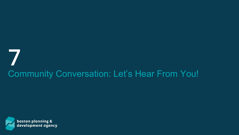# **7** Community Conversation: Let's Hear From You!